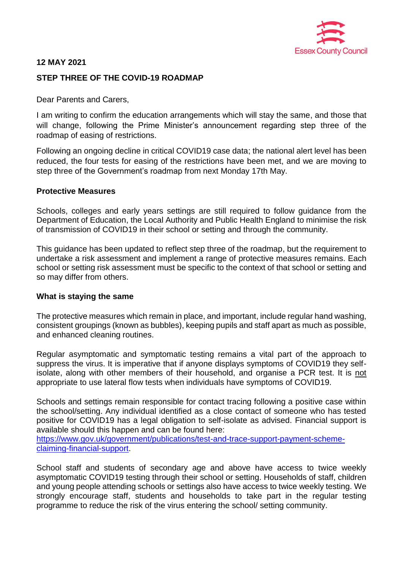

## **12 MAY 2021**

# **STEP THREE OF THE COVID-19 ROADMAP**

Dear Parents and Carers,

I am writing to confirm the education arrangements which will stay the same, and those that will change, following the Prime Minister's announcement regarding step three of the roadmap of easing of restrictions.

Following an ongoing decline in critical COVID19 case data; the national alert level has been reduced, the four tests for easing of the restrictions have been met, and we are moving to step three of the Government's roadmap from next Monday 17th May.

### **Protective Measures**

Schools, colleges and early years settings are still required to follow guidance from the Department of Education, the Local Authority and Public Health England to minimise the risk of transmission of COVID19 in their school or setting and through the community.

This guidance has been updated to reflect step three of the roadmap, but the requirement to undertake a risk assessment and implement a range of protective measures remains. Each school or setting risk assessment must be specific to the context of that school or setting and so may differ from others.

## **What is staying the same**

The protective measures which remain in place, and important, include regular hand washing, consistent groupings (known as bubbles), keeping pupils and staff apart as much as possible, and enhanced cleaning routines.

Regular asymptomatic and symptomatic testing remains a vital part of the approach to suppress the virus. It is imperative that if anyone displays symptoms of COVID19 they selfisolate, along with other members of their household, and organise a PCR test. It is not appropriate to use lateral flow tests when individuals have symptoms of COVID19.

Schools and settings remain responsible for contact tracing following a positive case within the school/setting. Any individual identified as a close contact of someone who has tested positive for COVID19 has a legal obligation to self-isolate as advised. Financial support is available should this happen and can be found here:

[https://www.gov.uk/government/publications/test-and-trace-support-payment-scheme](https://www.gov.uk/government/publications/test-and-trace-support-payment-scheme-claiming-financial-support/claiming-financial-support-under-the-test-and-trace-support-payment-scheme)[claiming-financial-support.](https://www.gov.uk/government/publications/test-and-trace-support-payment-scheme-claiming-financial-support/claiming-financial-support-under-the-test-and-trace-support-payment-scheme)

School staff and students of secondary age and above have access to twice weekly asymptomatic COVID19 testing through their school or setting. Households of staff, children and young people attending schools or settings also have access to twice weekly testing. We strongly encourage staff, students and households to take part in the regular testing programme to reduce the risk of the virus entering the school/ setting community.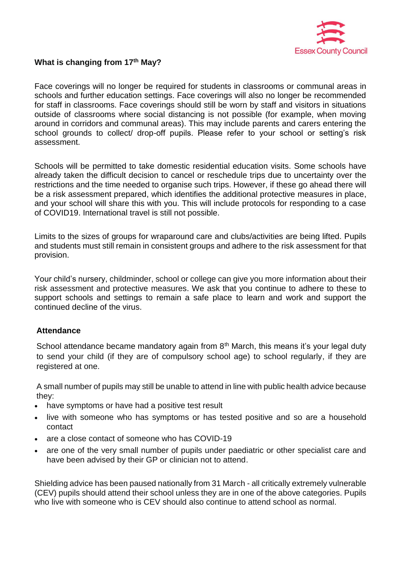

# **What is changing from 17th May?**

Face coverings will no longer be required for students in classrooms or communal areas in schools and further education settings. Face coverings will also no longer be recommended for staff in classrooms. Face coverings should still be worn by staff and visitors in situations outside of classrooms where social distancing is not possible (for example, when moving around in corridors and communal areas). This may include parents and carers entering the school grounds to collect/ drop-off pupils. Please refer to your school or setting's risk assessment.

Schools will be permitted to take domestic residential education visits. Some schools have already taken the difficult decision to cancel or reschedule trips due to uncertainty over the restrictions and the time needed to organise such trips. However, if these go ahead there will be a risk assessment prepared, which identifies the additional protective measures in place, and your school will share this with you. This will include protocols for responding to a case of COVID19. International travel is still not possible.

Limits to the sizes of groups for wraparound care and clubs/activities are being lifted. Pupils and students must still remain in consistent groups and adhere to the risk assessment for that provision.

Your child's nursery, childminder, school or college can give you more information about their risk assessment and protective measures. We ask that you continue to adhere to these to support schools and settings to remain a safe place to learn and work and support the continued decline of the virus.

## **Attendance**

School attendance became mandatory again from  $8<sup>th</sup>$  March, this means it's your legal duty to send your child (if they are of compulsory school age) to school regularly, if they are registered at one.

A small number of pupils may still be unable to attend in line with public health advice because they:

- have symptoms or have had a positive test result
- live with someone who has symptoms or has tested positive and so are a household contact
- are a close contact of someone who has COVID-19
- are one of the very small number of pupils under paediatric or other specialist care and have been advised by their GP or clinician not to attend.

Shielding advice has been paused nationally from 31 March - all critically extremely vulnerable (CEV) pupils should attend their school unless they are in one of the above categories. Pupils who live with someone who is CEV should also continue to attend school as normal.